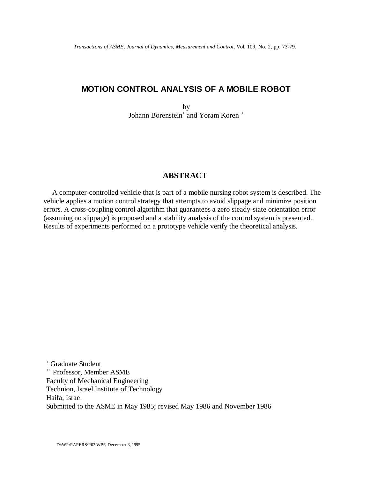## **MOTION CONTROL ANALYSIS OF A MOBILE ROBOT**

by Johann Borenstein<sup>+</sup> and Yoram Koren<sup>++</sup>

## **ABSTRACT**

A computer-controlled vehicle that is part of a mobile nursing robot system is described. The vehicle applies a motion control strategy that attempts to avoid slippage and minimize position errors. A cross-coupling control algorithm that guarantees a zero steady-state orientation error (assuming no slippage) is proposed and a stability analysis of the control system is presented. Results of experiments performed on a prototype vehicle verify the theoretical analysis.

+ Graduate Student <sup>++</sup> Professor, Member ASME Faculty of Mechanical Engineering Technion, Israel Institute of Technology Haifa, Israel Submitted to the ASME in May 1985; revised May 1986 and November 1986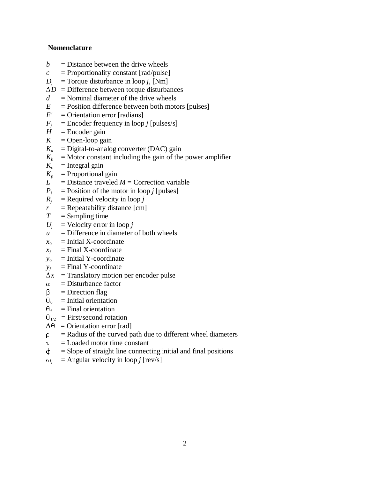## **Nomenclature**

- $b =$  Distance between the drive wheels
- $c =$  Proportionality constant [rad/pulse]
- $D_i$  = Torque disturbance in loop *j*, [Nm]
- $\Delta D$  = Difference between torque disturbances
- $d =$ Nominal diameter of the drive wheels
- $E =$  Position difference between both motors [pulses]
- $E'$  = Orientation error [radians]
- $F_i$  = Encoder frequency in loop *j* [pulses/s]
- $H =$  Encoder gain
- $K =$ Open-loop gain
- $K_a$  = Digital-to-analog converter (DAC) gain
- $K<sub>b</sub>$  = Motor constant including the gain of the power amplifier
- $K_c$  = Integral gain
- $K_p$  = Proportional gain
- $L =$  Distance traveled  $M =$  Correction variable
- $P_i$  = Position of the motor in loop *j* [pulses]
- $R_i$  = Required velocity in loop *j*
- $r =$ Repeatability distance [cm]
- $T =$ Sampling time
- $U_i$  = Velocity error in loop *j*
- $u =$  Difference in diameter of both wheels
- $x_0$  = Initial X-coordinate
- $x_f$  = Final X-coordinate
- $y_0$  = Initial Y-coordinate
- $y_f$  = Final Y-coordinate
- $\Delta x$  = Translatory motion per encoder pulse
- $\alpha$  = Disturbance factor
- $\beta$  = Direction flag
- $\theta_0$  = Initial orientation
- $\theta_f$  = Final orientation
- $\theta_{1/2}$  = First/second rotation
- $\Delta\theta$  = Orientation error [rad]
- $\[\rho\]$  = Radius of the curved path due to different wheel diameters
- $\tau$  = Loaded motor time constant
- $\phi$  = Slope of straight line connecting initial and final positions
- $\omega_i$  = Angular velocity in loop *j* [rev/s]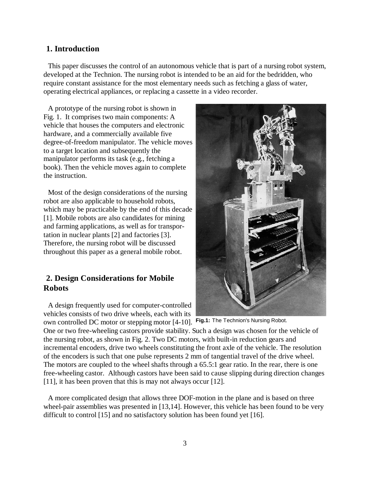## **1. Introduction**

 This paper discusses the control of an autonomous vehicle that is part of a nursing robot system, developed at the Technion. The nursing robot is intended to be an aid for the bedridden, who require constant assistance for the most elementary needs such as fetching a glass of water, operating electrical appliances, or replacing a cassette in a video recorder.

 A prototype of the nursing robot is shown in Fig. 1. It comprises two main components: A vehicle that houses the computers and electronic hardware, and a commercially available five degree-of-freedom manipulator. The vehicle moves to a target location and subsequently the manipulator performs its task (e.g., fetching a book). Then the vehicle moves again to complete the instruction.

 Most of the design considerations of the nursing robot are also applicable to household robots, which may be practicable by the end of this decade [1]. Mobile robots are also candidates for mining and farming applications, as well as for transportation in nuclear plants [2] and factories [3]. Therefore, the nursing robot will be discussed throughout this paper as a general mobile robot.

# **2. Design Considerations for Mobile Robots**

 A design frequently used for computer-controlled vehicles consists of two drive wheels, each with its

own controlled DC motor or stepping motor [4-10]. Fig.1: The Technion's Nursing Robot. One or two free-wheeling castors provide stability. Such a design was chosen for the vehicle of the nursing robot, as shown in Fig. 2. Two DC motors, with built-in reduction gears and incremental encoders, drive two wheels constituting the front axle of the vehicle. The resolution of the encoders is such that one pulse represents 2 mm of tangential travel of the drive wheel. The motors are coupled to the wheel shafts through a 65.5:1 gear ratio. In the rear, there is one free-wheeling castor. Although castors have been said to cause slipping during direction changes [11], it has been proven that this is may not always occur [12].

 A more complicated design that allows three DOF-motion in the plane and is based on three wheel-pair assemblies was presented in [13,14]. However, this vehicle has been found to be very difficult to control [15] and no satisfactory solution has been found yet [16].

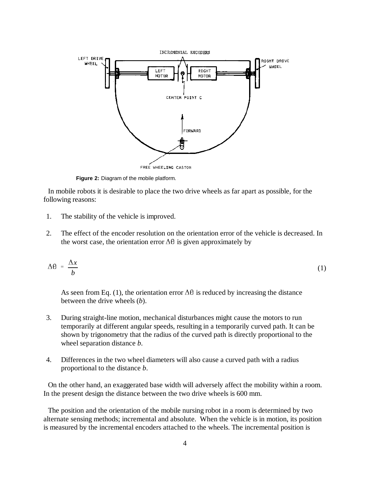

**Figure 2:** Diagram of the mobile platform.

 In mobile robots it is desirable to place the two drive wheels as far apart as possible, for the following reasons:

- 1. The stability of the vehicle is improved.
- 2. The effect of the encoder resolution on the orientation error of the vehicle is decreased. In the worst case, the orientation error  $\Delta\theta$  is given approximately by

$$
\Delta\theta = \frac{\Delta x}{b} \tag{1}
$$

As seen from Eq. (1), the orientation error  $\Delta\theta$  is reduced by increasing the distance between the drive wheels (*b*).

- 3. During straight-line motion, mechanical disturbances might cause the motors to run temporarily at different angular speeds, resulting in a temporarily curved path. It can be shown by trigonometry that the radius of the curved path is directly proportional to the wheel separation distance *b*.
- 4. Differences in the two wheel diameters will also cause a curved path with a radius proportional to the distance *b*.

 On the other hand, an exaggerated base width will adversely affect the mobility within a room. In the present design the distance between the two drive wheels is 600 mm.

 The position and the orientation of the mobile nursing robot in a room is determined by two alternate sensing methods; incremental and absolute. When the vehicle is in motion, its position is measured by the incremental encoders attached to the wheels. The incremental position is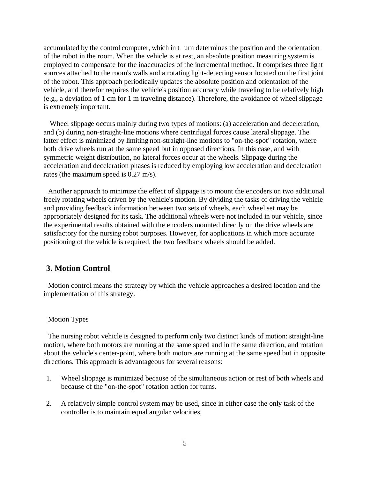accumulated by the control computer, which in t urn determines the position and the orientation of the robot in the room. When the vehicle is at rest, an absolute position measuring system is employed to compensate for the inaccuracies of the incremental method. It comprises three light sources attached to the room's walls and a rotating light-detecting sensor located on the first joint of the robot. This approach periodically updates the absolute position and orientation of the vehicle, and therefor requires the vehicle's position accuracy while traveling to be relatively high (e.g., a deviation of 1 cm for 1 m traveling distance). Therefore, the avoidance of wheel slippage is extremely important.

Wheel slippage occurs mainly during two types of motions: (a) acceleration and deceleration, and (b) during non-straight-line motions where centrifugal forces cause lateral slippage. The latter effect is minimized by limiting non-straight-line motions to "on-the-spot" rotation, where both drive wheels run at the same speed but in opposed directions. In this case, and with symmetric weight distribution, no lateral forces occur at the wheels. Slippage during the acceleration and deceleration phases is reduced by employing low acceleration and deceleration rates (the maximum speed is 0.27 m/s).

 Another approach to minimize the effect of slippage is to mount the encoders on two additional freely rotating wheels driven by the vehicle's motion. By dividing the tasks of driving the vehicle and providing feedback information between two sets of wheels, each wheel set may be appropriately designed for its task. The additional wheels were not included in our vehicle, since the experimental results obtained with the encoders mounted directly on the drive wheels are satisfactory for the nursing robot purposes. However, for applications in which more accurate positioning of the vehicle is required, the two feedback wheels should be added.

### **3. Motion Control**

 Motion control means the strategy by which the vehicle approaches a desired location and the implementation of this strategy.

#### Motion Types

 The nursing robot vehicle is designed to perform only two distinct kinds of motion: straight-line motion, where both motors are running at the same speed and in the same direction, and rotation about the vehicle's center-point, where both motors are running at the same speed but in opposite directions. This approach is advantageous for several reasons:

- 1. Wheel slippage is minimized because of the simultaneous action or rest of both wheels and because of the "on-the-spot" rotation action for turns.
- 2. A relatively simple control system may be used, since in either case the only task of the controller is to maintain equal angular velocities,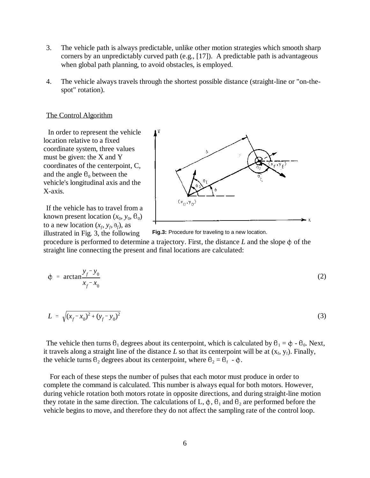- 3. The vehicle path is always predictable, unlike other motion strategies which smooth sharp corners by an unpredictably curved path (e.g., [17]). A predictable path is advantageous when global path planning, to avoid obstacles, is employed.
- 4. The vehicle always travels through the shortest possible distance (straight-line or "on-thespot" rotation).

#### The Control Algorithm

 In order to represent the vehicle location relative to a fixed coordinate system, three values must be given: the X and Y coordinates of the centerpoint, C, and the angle  $\theta_0$  between the vehicle's longitudinal axis and the X-axis.

If the vehicle has to travel from a known present location  $(x_0, y_0, \theta_0)$ to a new location  $(x_f, y_f, \theta_f)$ , as illustrated in Fig. 3, the following



**Fig.3:** Procedure for traveling to a new location.

procedure is performed to determine a trajectory. First, the distance  $L$  and the slope  $\phi$  of the straight line connecting the present and final locations are calculated:

$$
\phi = \arctan \frac{y_f - y_0}{x_f - x_0} \tag{2}
$$

$$
L = \sqrt{(x_f - x_0)^2 + (y_f - y_0)^2}
$$
 (3)

The vehicle then turns  $\theta_1$  degrees about its centerpoint, which is calculated by  $\theta_1 = \phi - \theta_0$ . Next, it travels along a straight line of the distance  $L$  so that its centerpoint will be at  $(x_f, y_f)$ . Finally, the vehicle turns  $\theta_2$  degrees about its centerpoint, where  $\theta_2 = \theta_f - \phi$ .

 For each of these steps the number of pulses that each motor must produce in order to complete the command is calculated. This number is always equal for both motors. However, during vehicle rotation both motors rotate in opposite directions, and during straight-line motion they rotate in the same direction. The calculations of L,  $\phi$ ,  $\theta_1$  and  $\theta_2$  are performed before the vehicle begins to move, and therefore they do not affect the sampling rate of the control loop.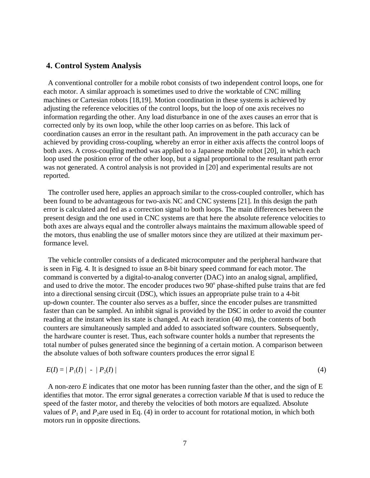### **4. Control System Analysis**

 A conventional controller for a mobile robot consists of two independent control loops, one for each motor. A similar approach is sometimes used to drive the worktable of CNC milling machines or Cartesian robots [18,19]. Motion coordination in these systems is achieved by adjusting the reference velocities of the control loops, but the loop of one axis receives no information regarding the other. Any load disturbance in one of the axes causes an error that is corrected only by its own loop, while the other loop carries on as before. This lack of coordination causes an error in the resultant path. An improvement in the path accuracy can be achieved by providing cross-coupling, whereby an error in either axis affects the control loops of both axes. A cross-coupling method was applied to a Japanese mobile robot [20], in which each loop used the position error of the other loop, but a signal proportional to the resultant path error was not generated. A control analysis is not provided in [20] and experimental results are not reported.

 The controller used here, applies an approach similar to the cross-coupled controller, which has been found to be advantageous for two-axis NC and CNC systems [21]. In this design the path error is calculated and fed as a correction signal to both loops. The main differences between the present design and the one used in CNC systems are that here the absolute reference velocities to both axes are always equal and the controller always maintains the maximum allowable speed of the motors, thus enabling the use of smaller motors since they are utilized at their maximum performance level.

 The vehicle controller consists of a dedicated microcomputer and the peripheral hardware that is seen in Fig. 4. It is designed to issue an 8-bit binary speed command for each motor. The command is converted by a digital-to-analog converter (DAC) into an analog signal, amplified, and used to drive the motor. The encoder produces two 90<sup>°</sup> phase-shifted pulse trains that are fed into a directional sensing circuit (DSC), which issues an appropriate pulse train to a 4-bit up-down counter. The counter also serves as a buffer, since the encoder pulses are transmitted faster than can be sampled. An inhibit signal is provided by the DSC in order to avoid the counter reading at the instant when its state is changed. At each iteration (40 ms), the contents of both counters are simultaneously sampled and added to associated software counters. Subsequently, the hardware counter is reset. Thus, each software counter holds a number that represents the total number of pulses generated since the beginning of a certain motion. A comparison between the absolute values of both software counters produces the error signal E

$$
E(I) = | P_1(I) | - | P_2(I) |
$$
\n(4)

 A non-zero *E* indicates that one motor has been running faster than the other, and the sign of E identifies that motor. The error signal generates a correction variable *M* that is used to reduce the speed of the faster motor, and thereby the velocities of both motors are equalized. Absolute values of  $P_1$  and  $P_2$  are used in Eq. (4) in order to account for rotational motion, in which both motors run in opposite directions.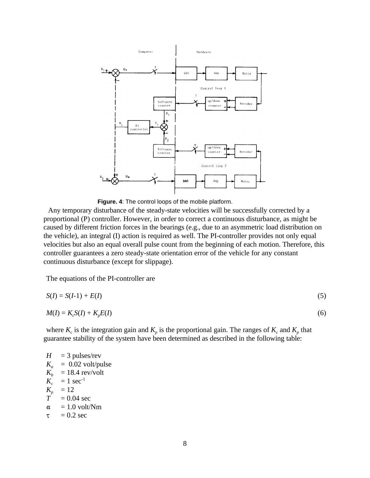

**Figure. 4**: The control loops of the mobile platform.

 Any temporary disturbance of the steady-state velocities will be successfully corrected by a proportional (P) controller. However, in order to correct a continuous disturbance, as might be caused by different friction forces in the bearings (e.g., due to an asymmetric load distribution on the vehicle), an integral (I) action is required as well. The PI-controller provides not only equal velocities but also an equal overall pulse count from the beginning of each motion. Therefore, this controller guarantees a zero steady-state orientation error of the vehicle for any constant continuous disturbance (except for slippage).

The equations of the PI-controller are

$$
S(I) = S(I-1) + E(I) \tag{5}
$$

$$
M(I) = K_c S(I) + K_p E(I) \tag{6}
$$

where  $K_c$  is the integration gain and  $K_p$  is the proportional gain. The ranges of  $K_c$  and  $K_p$  that guarantee stability of the system have been determined as described in the following table:

 $H = 3$  pulses/rev  $K_a$  = 0.02 volt/pulse<br> $K_b$  = 18.4 rev/volt  $K_b$  = 18.4 rev/volt<br> $K_c$  = 1 sec<sup>-1</sup>  $K_c$  = 1 sec<sup>-1</sup><br> $K_n$  = 12  $\frac{K_p}{T} = 12$ <br> $\frac{12}{T} = 0.0$  $= 0.04$  sec  $\alpha$  $= 1.0$  volt/Nm  $= 0.2$  sec  $\tau$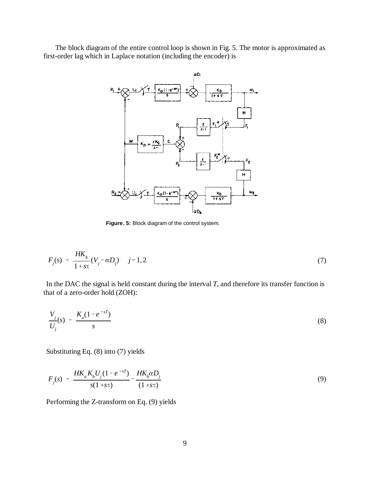The block diagram of the entire control loop is shown in Fig. 5. The motor is approximated as first-order lag which in Laplace notation (including the encoder) is



**Figure. 5:** Block diagram of the control system.

$$
F_j(s) = \frac{HK_b}{1 + s\tau}(V_j - \alpha D_j) \quad j = 1, 2
$$
\n(7)

In the DAC the signal is held constant during the interval *T*, and therefore its transfer function is

that of a zero-order hold (ZOH):  
\n
$$
\frac{V_j}{U_j}(s) = \frac{K_a(1 - e^{-sT})}{s}
$$
\n(8)

Substituting Eq. (8) into (7) yields  

$$
F_j(s) = \frac{HK_a K_b U_j (1 - e^{-sT})}{s(1 + s\tau)} - \frac{HK_b \alpha D_j}{(1 + s\tau)}
$$
(9)

Performing the Z-transform on Eq. (9) yields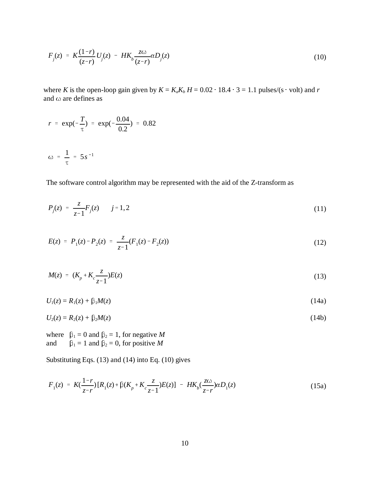$$
F_j(z) = K \frac{(1-r)}{(z-r)} U_j(z) - H K_b \frac{z\omega}{(z-r)} \alpha D_j(z)
$$
 (10)

where *K* is the open-loop gain given by  $K = K_a K_b H = 0.02 \cdot 18.4 \cdot 3 = 1.1$  pulses/(s · volt) and *r* and  $\omega$  are defines as

$$
r = \exp(-\frac{T}{\tau}) = \exp(-\frac{0.04}{0.2}) = 0.82
$$
  

$$
\omega = \frac{1}{\tau} = 5s^{-1}
$$

The software control algorithm may be represented with the aid of the Z-transform as

$$
P_j(z) = \frac{z}{z-1} F_j(z) \qquad j = 1, 2
$$
 (11)

$$
E(z) = P_1(z) - P_2(z) = \frac{z}{z-1}(F_1(z) - F_2(z))
$$
\n(12)

$$
M(z) = (K_p + K_c \frac{z}{z-1})E(z)
$$
\n(13)

 $U_1(z) = R_1(z) + \beta_1 M(z)$  (14a)

$$
U_2(z) = R_2(z) + \beta_2 M(z)
$$
\n(14b)

where  $\beta_1 = 0$  and  $\beta_2 = 1$ , for negative *M* and  $\beta_1 = 1$  and  $\beta_2 = 0$ , for positive *M* 

Substituting Eqs. (13) and (14) into Eq. (10) gives

$$
F_1(z) = K(\frac{1-r}{z-r})[R_1(z) + \beta(K_p + K_c \frac{z}{z-1})E(z)] - HK_b(\frac{z\omega}{z-r})\alpha D_1(z)
$$
\n(15a)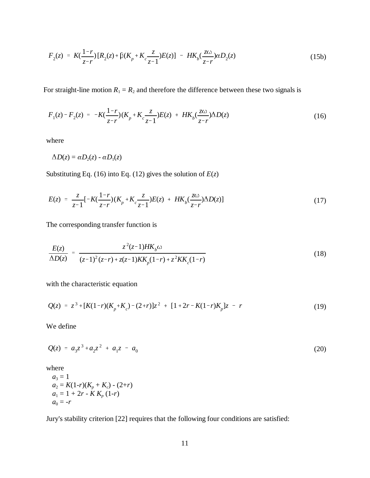$$
F_2(z) = K(\frac{1-r}{z-r})[R_2(z) + \beta(K_p + K_c \frac{z}{z-1})E(z)] - HK_b(\frac{z\omega}{z-r})\alpha D_2(z)
$$
\n(15b)

For straight-line motion  $R_1 = R_2$  and therefore the difference between these two signals is

$$
F_1(z) - F_2(z) = -K(\frac{1-r}{z-r})(K_p + K_c \frac{z}{z-1})E(z) + HK_b(\frac{z\omega}{z-r})\Delta D(z)
$$
\n(16)

where

$$
\Delta D(z) = \alpha D_2(z) - \alpha D_1(z)
$$

Substituting Eq. (16) into Eq. (12) gives the solution of  $E(z)$ 

$$
E(z) = \frac{z}{z-1} \left[ -K(\frac{1-r}{z-r})(K_p + K_c \frac{z}{z-1}) E(z) + HK_b(\frac{z\omega}{z-r}) \Delta D(z) \right]
$$
(17)

The corresponding transfer function is

$$
\frac{E(z)}{\Delta D(z)} = \frac{z^2(z-1)HK_b\omega}{(z-1)^2(z-r) + z(z-1)KK_p(1-r) + z^2KK_c(1-r)}
$$
(18)

with the characteristic equation

$$
Q(z) = z3 + [K(1-r)(Kp + Kc) - (2+r)]z2 + [1+2r - K(1-r)Kp]z - r
$$
\n(19)

We define

$$
Q(z) = a_3 z^3 + a_2 z^2 + a_1 z - a_0 \tag{20}
$$

where

$$
a_3 = 1
$$
  
\n
$$
a_2 = K(1-r)(K_p + K_c) - (2+r)
$$
  
\n
$$
a_1 = 1 + 2r - K K_p (1-r)
$$
  
\n
$$
a_0 = -r
$$

Jury's stability criterion [22] requires that the following four conditions are satisfied: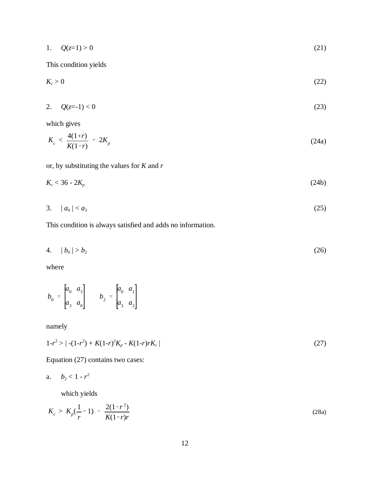$$
1. \tQ(z=1) > 0 \t(21)
$$

This condition yields

$$
K_c > 0 \tag{22}
$$

$$
2. \tQ(z=1) < 0 \tag{23}
$$

which gives

$$
K_c < \frac{4(1+r)}{K(1-r)} = 2K_p \tag{24a}
$$

or, by substituting the values for *K* and *r*

$$
K_c < 36 - 2K_p \tag{24b}
$$

3. 
$$
|a_0| < a_3
$$
 (25)

This condition is always satisfied and adds no information.

$$
4. \qquad |b_0| > b_2 \tag{26}
$$

where

$$
b_0 = \begin{bmatrix} a_0 & a_3 \\ a_3 & a_0 \end{bmatrix} \qquad b_2 = \begin{bmatrix} a_0 & a_1 \\ a_3 & a_2 \end{bmatrix}
$$

namely

$$
1 - r^2 > |-(1 - r^2) + K(1 - r)^2 K_p - K(1 - r) r K_c|
$$
\n(27)

Equation (27) contains two cases:

$$
a. \quad b_2 < 1 - r^2
$$

which yields

$$
K_c > K_p(\frac{1}{r} - 1) - \frac{2(1 - r^2)}{K(1 - r)r}
$$
\n(28a)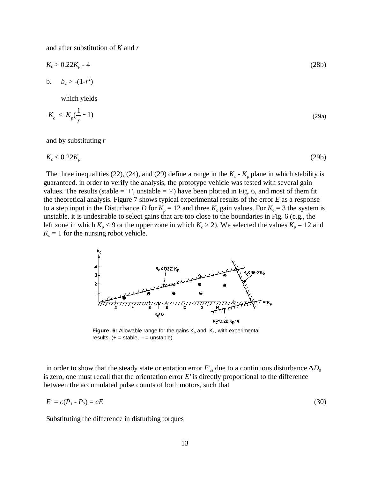and after substitution of *K* and *r*

$$
K_c > 0.22K_p - 4
$$
 (28b)

$$
b. \qquad b_2 > -(1-r^2)
$$

which yields

$$
K_c < K_p \left(\frac{1}{r} - 1\right) \tag{29a}
$$

and by substituting *r*

$$
K_c < 0.22 K_p \tag{29b}
$$

The three inequalities (22), (24), and (29) define a range in the  $K_c$  -  $K_p$  plane in which stability is guaranteed. in order to verify the analysis, the prototype vehicle was tested with several gain values. The results (stable  $=$  '+', unstable  $=$  '-') have been plotted in Fig. 6, and most of them fit the theoretical analysis. Figure 7 shows typical experimental results of the error *E* as a response to a step input in the Disturbance *D* for  $K_p = 12$  and three  $K_c$  gain values. For  $K_c = 3$  the system is unstable. it is undesirable to select gains that are too close to the boundaries in Fig. 6 (e.g., the left zone in which  $K_p < 9$  or the upper zone in which  $K_c > 2$ ). We selected the values  $K_p = 12$  and  $K_c = 1$  for the nursing robot vehicle.



**Figure. 6:** Allowable range for the gains  $K_p$  and  $K_c$ , with experimental results.  $(+)$  = stable,  $-$  = unstable)

in order to show that the steady state orientation error  $E'_{ss}$  due to a continuous disturbance  $\Delta D_0$ is zero, one must recall that the orientation error *E'* is directly proportional to the difference between the accumulated pulse counts of both motors, such that

$$
E' = c(P_1 - P_2) = cE \tag{30}
$$

Substituting the difference in disturbing torques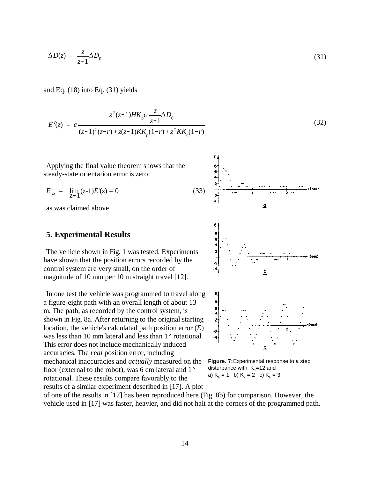$$
\Delta D(z) = \frac{z}{z-1} \Delta D_0 \tag{31}
$$

and Eq.  $(18)$  into Eq.  $(31)$  yields

$$
E'(z) = c \frac{z^2(z-1)HK_b\omega \frac{z}{z-1} \Delta D_0}{(z-1)^2(z-r) + z(z-1)KK_p(1-r) + z^2KK_c(1-r)}
$$
(32)

Applying the final value theorem shows that the steady-state orientation error is zero:

$$
E'_{ss} = \lim_{Z \to 1} (z-1)E'(z) = 0 \tag{33}
$$

as was claimed above.

#### **5. Experimental Results**

The vehicle shown in Fig. 1 was tested. Experiments have shown that the position errors recorded by the control system are very small, on the order of magnitude of 10 mm per 10 m straight travel [12].

In one test the vehicle was programmed to travel along a figure-eight path with an overall length of about 13 m. The path, as recorded by the control system, is shown in Fig. 8a. After returning to the original starting location, the vehicle's calculated path position error (*E*) was less than 10 mm lateral and less than  $1^\circ$  rotational. This error does not include mechanically induced accuracies. The *real* position error, including mechanical inaccuracies and *actually* measured on the floor (external to the robot), was 6 cm lateral and  $1^\circ$ rotational. These results compare favorably to the results of a similar experiment described in [17]. A plot



**Figure. 7:**Experimental response to a step disturbance with  $K_p = 12$  and a)  $K_c = 1$  b)  $K_c = 2$  c)  $K_c = 3$ 

of one of the results in [17] has been reproduced here (Fig. 8b) for comparison. However, the vehicle used in [17] was faster, heavier, and did not halt at the corners of the programmed path.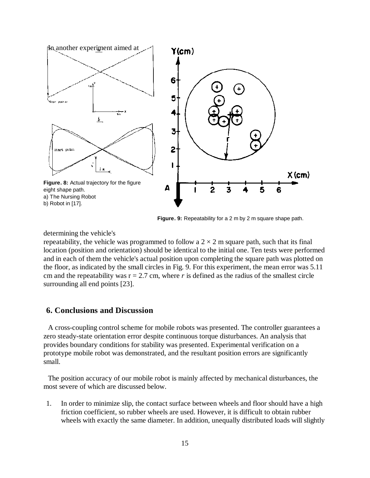

**Figure. 9:** Repeatability for a 2 m by 2 m square shape path.

determining the vehicle's

repeatability, the vehicle was programmed to follow a  $2 \times 2$  m square path, such that its final location (position and orientation) should be identical to the initial one. Ten tests were performed and in each of them the vehicle's actual position upon completing the square path was plotted on the floor, as indicated by the small circles in Fig. 9. For this experiment, the mean error was 5.11 cm and the repeatability was  $r = 2.7$  cm, where  $r$  is defined as the radius of the smallest circle surrounding all end points [23].

## **6. Conclusions and Discussion**

 A cross-coupling control scheme for mobile robots was presented. The controller guarantees a zero steady-state orientation error despite continuous torque disturbances. An analysis that provides boundary conditions for stability was presented. Experimental verification on a prototype mobile robot was demonstrated, and the resultant position errors are significantly small.

 The position accuracy of our mobile robot is mainly affected by mechanical disturbances, the most severe of which are discussed below.

1. In order to minimize slip, the contact surface between wheels and floor should have a high friction coefficient, so rubber wheels are used. However, it is difficult to obtain rubber wheels with exactly the same diameter. In addition, unequally distributed loads will slightly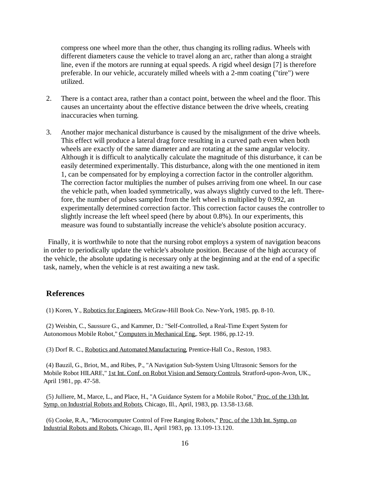compress one wheel more than the other, thus changing its rolling radius. Wheels with different diameters cause the vehicle to travel along an arc, rather than along a straight line, even if the motors are running at equal speeds. A rigid wheel design [7] is therefore preferable. In our vehicle, accurately milled wheels with a 2-mm coating ("tire") were utilized.

- 2. There is a contact area, rather than a contact point, between the wheel and the floor. This causes an uncertainty about the effective distance between the drive wheels, creating inaccuracies when turning.
- 3. Another major mechanical disturbance is caused by the misalignment of the drive wheels. This effect will produce a lateral drag force resulting in a curved path even when both wheels are exactly of the same diameter and are rotating at the same angular velocity. Although it is difficult to analytically calculate the magnitude of this disturbance, it can be easily determined experimentally. This disturbance, along with the one mentioned in item 1, can be compensated for by employing a correction factor in the controller algorithm. The correction factor multiplies the number of pulses arriving from one wheel. In our case the vehicle path, when loaded symmetrically, was always slightly curved to the left. Therefore, the number of pulses sampled from the left wheel is multiplied by 0.992, an experimentally determined correction factor. This correction factor causes the controller to slightly increase the left wheel speed (here by about 0.8%). In our experiments, this measure was found to substantially increase the vehicle's absolute position accuracy.

 Finally, it is worthwhile to note that the nursing robot employs a system of navigation beacons in order to periodically update the vehicle's absolute position. Because of the high accuracy of the vehicle, the absolute updating is necessary only at the beginning and at the end of a specific task, namely, when the vehicle is at rest awaiting a new task.

### **References**

(1) Koren, Y., Robotics for Engineers, McGraw-Hill Book Co. New-York, 1985. pp. 8-10.

(2) Weisbin, C., Saussure G., and Kammer, D.: "Self-Controlled, a Real-Time Expert System for Autonomous Mobile Robot," Computers in Mechanical Eng.. Sept. 1986, pp.12-19.

(3) Dorf R. C., Robotics and Automated Manufacturing, Prentice-Hall Co., Reston, 1983.

(4) Bauzil, G., Briot, M., and Ribes, P., "A Navigation Sub-System Using Ultrasonic Sensors for the Mobile Robot HILARE," 1st Int. Conf. on Robot Vision and Sensory Controls, Stratford-upon-Avon, UK., April 1981, pp. 47-58.

(5) Julliere, M., Marce, L., and Place, H., "A Guidance System for a Mobile Robot," Proc. of the 13th Int. Symp. on Industrial Robots and Robots, Chicago, Ill., April, 1983, pp. 13.58-13.68.

(6) Cooke, R.A., "Microcomputer Control of Free Ranging Robots," Proc. of the 13th Int. Symp. on Industrial Robots and Robots, Chicago, Ill., April 1983, pp. 13.109-13.120.